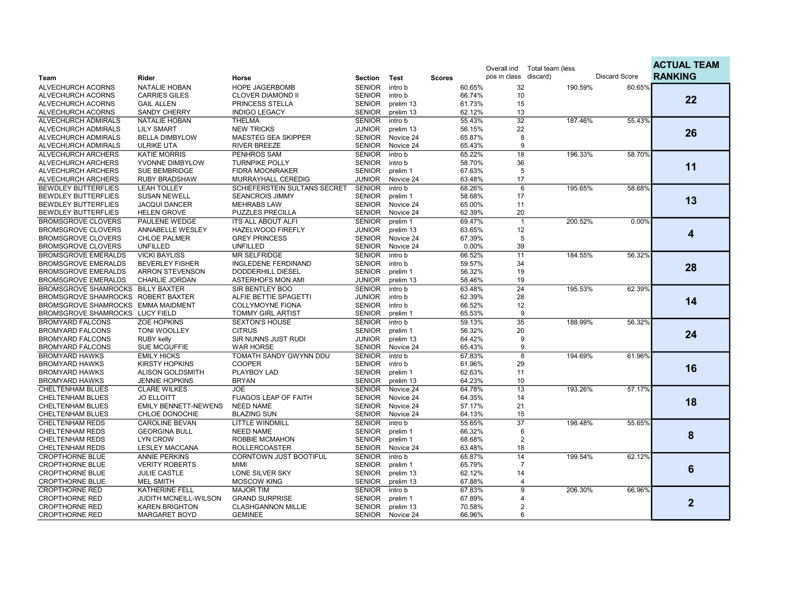|                                    |                             |                               |               |           |               |        | Overall ind           | Total team (less |         |                      | <b>ACTUAL TEAM</b> |
|------------------------------------|-----------------------------|-------------------------------|---------------|-----------|---------------|--------|-----------------------|------------------|---------|----------------------|--------------------|
| Team                               | Rider                       | Horse                         | Section       | Test      | <b>Scores</b> |        | pos in class discard) |                  |         | <b>Discard Score</b> | <b>RANKING</b>     |
| ALVECHURCH ACORNS                  | <b>NATALIE HOBAN</b>        | <b>HOPE JAGERBOMB</b>         | <b>SENIOR</b> | intro b   |               | 60.65% | 32                    |                  | 190.59% | 60.65%               |                    |
| ALVECHURCH ACORNS                  | <b>CARRIES GILES</b>        | <b>CLOVER DIAMOND II</b>      | <b>SENIOR</b> | intro b   |               | 66.74% | 10                    |                  |         |                      |                    |
| ALVECHURCH ACORNS                  | <b>GAIL ALLEN</b>           | PRINCESS STELLA               | <b>SENIOR</b> | prelim 13 |               | 61.73% | 15                    |                  |         |                      | 22                 |
| ALVECHURCH ACORNS                  | <b>SANDY CHERRY</b>         | <b>INDIGO LEGACY</b>          | <b>SENIOR</b> | prelim 13 |               | 62.12% | 13                    |                  |         |                      |                    |
| ALVECHURCH ADMIRALS                | <b>NATALIE HOBAN</b>        | <b>THELMA</b>                 | <b>SENIOR</b> | intro b   |               | 55.43% | 32                    |                  | 187.46% | 55.43%               |                    |
| ALVECHURCH ADMIRALS                | <b>LILY SMART</b>           | <b>NEW TRICKS</b>             | <b>JUNIOR</b> | prelim 13 |               | 56.15% | 22                    |                  |         |                      |                    |
| ALVECHURCH ADMIRALS                | <b>BELLA DIMBYLOW</b>       | MAESTEG SEA SKIPPER           | <b>SENIOR</b> | Novice 24 |               | 65.87% | 8                     |                  |         |                      | 26                 |
| ALVECHURCH ADMIRALS                | <b>ULRIKE UTA</b>           | <b>RIVER BREEZE</b>           | <b>SENIOR</b> | Novice 24 |               | 65.43% | 9                     |                  |         |                      |                    |
| ALVECHURCH ARCHERS                 | <b>KATIE MORRIS</b>         | <b>PENHROS SAM</b>            | <b>SENIOR</b> | intro b   |               | 65.22% | 18                    |                  | 196.33% | 58.70%               |                    |
| ALVECHURCH ARCHERS                 | YVONNE DIMBYLOW             | <b>TURNPIKE POLLY</b>         | <b>SENIOR</b> | intro b   |               | 58.70% | 36                    |                  |         |                      | 11                 |
| ALVECHURCH ARCHERS                 | <b>SUE BEMBRIDGE</b>        | <b>FIDRA MOONRAKER</b>        | <b>SENIOR</b> | prelim 1  |               | 67.63% | 5                     |                  |         |                      |                    |
| ALVECHURCH ARCHERS                 | <b>RUBY BRADSHAW</b>        | MURRAYHALL CEREDIG            | <b>JUNIOR</b> | Novice 24 |               | 63.48% | 17                    |                  |         |                      |                    |
| <b>BEWDLEY BUTTERFLIES</b>         | <b>LEAH TOLLEY</b>          | SCHIEFERSTEIN SULTANS SECRET  | <b>SENIOR</b> | intro b   |               | 68.26% | $6\overline{6}$       |                  | 195.65% | 58.68%               |                    |
| <b>BEWDLEY BUTTERFLIES</b>         | <b>SUSAN NEWELL</b>         | <b>SEANCROIS JIMMY</b>        | <b>SENIOR</b> | prelim 1  |               | 58.68% | 17                    |                  |         |                      | 13                 |
| <b>BEWDLEY BUTTERFLIES</b>         | <b>JACQUI DANCER</b>        | <b>MEHRABS LAW</b>            | <b>SENIOR</b> | Novice 24 |               | 65.00% | 11                    |                  |         |                      |                    |
| <b>BEWDLEY BUTTERFLIES</b>         | <b>HELEN GROVE</b>          | <b>PUZZLES PRECILLA</b>       | <b>SENIOR</b> | Novice 24 |               | 62.39% | 20                    |                  |         |                      |                    |
| <b>BROMSGROVE CLOVERS</b>          | <b>PAULENE WEDGE</b>        | <b>ITS ALL ABOUT ALFI</b>     | <b>SENIOR</b> | prelim 1  |               | 69.47% | $\mathbf{1}$          |                  | 200.52% | 0.00%                |                    |
| <b>BROMSGROVE CLOVERS</b>          | ANNABELLE WESLEY            | HAZELWOOD FIREFLY             | <b>JUNIOR</b> | prelim 13 |               | 63.65% | 12                    |                  |         |                      |                    |
| <b>BROMSGROVE CLOVERS</b>          | <b>CHLOE PALMER</b>         | <b>GREY PRINCESS</b>          | <b>SENIOR</b> | Novice 24 |               | 67.39% | 5                     |                  |         |                      | 4                  |
| <b>BROMSGROVE CLOVERS</b>          | <b>UNFILLED</b>             | <b>UNFILLED</b>               | <b>SENIOR</b> | Novice 24 |               | 0.00%  | 39                    |                  |         |                      |                    |
| <b>BROMSGROVE EMERALDS</b>         | <b>VICKI BAYLISS</b>        | <b>MR SELFRIDGE</b>           | <b>SENIOR</b> | intro b   |               | 66.52% | 11                    |                  | 184.55% | 56.32%               |                    |
| <b>BROMSGROVE EMERALDS</b>         | <b>BEVERLEY FISHER</b>      | INGLEDENE FERDINAND           | <b>SENIOR</b> | intro b   |               | 59.57% | 34                    |                  |         |                      |                    |
| <b>BROMSGROVE EMERALDS</b>         | <b>ARRON STEVENSON</b>      | DODDERHILL DIESEL             | <b>SENIOR</b> | prelim 1  |               | 56.32% | 19                    |                  |         |                      | 28                 |
| <b>BROMSGROVE EMERALDS</b>         | CHARLIE JORDAN              | <b>ASTERHOFS MON AMI</b>      | <b>JUNIOR</b> | prelim 13 |               | 58.46% | 19                    |                  |         |                      |                    |
| <b>BROMSGROVE SHAMROCKS</b>        | <b>BILLY BAXTER</b>         | SIR BENTLEY BOO               | <b>SENIOR</b> | intro b   |               | 63.48% | $\overline{24}$       |                  | 195.53% | 62.39%               |                    |
| BROMSGROVE SHAMROCKS ROBERT BAXTER |                             | ALFIE BETTIE SPAGETTI         | <b>JUNIOR</b> | intro b   |               | 62.39% | 28                    |                  |         |                      | 14                 |
| BROMSGROVE SHAMROCKS EMMA MAIDMENT |                             | <b>COLLYMOYNE FIONA</b>       | <b>SENIOR</b> | intro b   |               | 66.52% | 12                    |                  |         |                      |                    |
| BROMSGROVE SHAMROCKS LUCY FIELD    |                             | <b>TOMMY GIRL ARTIST</b>      | <b>SENIOR</b> | prelim 1  |               | 65.53% | 9                     |                  |         |                      |                    |
| <b>BROMYARD FALCONS</b>            | <b>ZOE HOPKINS</b>          | <b>SEXTON'S HOUSE</b>         | <b>SENIOR</b> | intro b   |               | 59.13% | $\overline{35}$       |                  | 188.99% | 56.32%               |                    |
| <b>BROMYARD FALCONS</b>            | <b>TONI WOOLLEY</b>         | <b>CITRUS</b>                 | <b>SENIOR</b> | prelim 1  |               | 56.32% | 20                    |                  |         |                      | 24                 |
| <b>BROMYARD FALCONS</b>            | <b>RUBY kelly</b>           | SIR NUNNS JUST RUDI           | <b>JUNIOR</b> | prelim 13 |               | 64.42% | 9                     |                  |         |                      |                    |
| <b>BROMYARD FALCONS</b>            | <b>SUE MCGUFFIE</b>         | <b>WAR HORSE</b>              | <b>SENIOR</b> | Novice 24 |               | 65.43% | 9                     |                  |         |                      |                    |
| <b>BROMYARD HAWKS</b>              | <b>EMILY HICKS</b>          | TOMATH SANDY GWYNN DDU        | <b>SENIOR</b> | intro b   |               | 67.83% | $\overline{8}$        |                  | 194.69% | 61.96%               |                    |
| <b>BROMYARD HAWKS</b>              | <b>KIRSTY HOPKINS</b>       | <b>COOPER</b>                 | <b>SENIOR</b> | intro b   |               | 61.96% | 29                    |                  |         |                      | 16                 |
| <b>BROMYARD HAWKS</b>              | <b>ALISON GOLDSMITH</b>     | PLAYBOY LAD                   | <b>SENIOR</b> | prelim 1  |               | 62.63% | 11                    |                  |         |                      |                    |
| <b>BROMYARD HAWKS</b>              | <b>JENNIE HOPKINS</b>       | <b>BRYAN</b>                  | <b>SENIOR</b> | prelim 13 |               | 64.23% | 10                    |                  |         |                      |                    |
| <b>CHELTENHAM BLUES</b>            | <b>CLARE WILKES</b>         | <b>JOE</b>                    | <b>SENIOR</b> | Novice 24 |               | 64.78% | $\overline{13}$       |                  | 193.26% | 57.17%               |                    |
| <b>CHELTENHAM BLUES</b>            | <b>JO ELLOITT</b>           | <b>FUAGOS LEAP OF FAITH</b>   | <b>SENIOR</b> | Novice 24 |               | 64.35% | 14                    |                  |         |                      | 18                 |
| <b>CHELTENHAM BLUES</b>            | <b>EMILY BENNETT-NEWENS</b> | <b>NEED NAME</b>              | <b>SENIOR</b> | Novice 24 |               | 57.17% | 21                    |                  |         |                      |                    |
| CHELTENHAM BLUES                   | CHLOE DONOCHIE              | <b>BLAZING SUN</b>            | <b>SENIOR</b> | Novice 24 |               | 64.13% | 15                    |                  |         |                      |                    |
| <b>CHELTENHAM REDS</b>             | <b>CAROLINE BEVAN</b>       | <b>LITTLE WINDMILL</b>        | <b>SENIOR</b> | intro b   |               | 55.65% | $\overline{37}$       |                  | 198.48% | 55.65%               |                    |
| <b>CHELTENHAM REDS</b>             | <b>GEORGINA BULL</b>        | <b>NEED NAME</b>              | <b>SENIOR</b> | prelim 1  |               | 66.32% | 6                     |                  |         |                      | 8                  |
| <b>CHELTENHAM REDS</b>             | <b>LYN CROW</b>             | ROBBIE MCMAHON                | <b>SENIOR</b> | prelim 1  |               | 68.68% | 2                     |                  |         |                      |                    |
| <b>CHELTENHAM REDS</b>             | <b>LESLEY MACCANA</b>       | <b>ROLLERCOASTER</b>          | <b>SENIOR</b> | Novice 24 |               | 63.48% | 18                    |                  |         |                      |                    |
| <b>CROPTHORNE BLUE</b>             | <b>ANNIE PERKINS</b>        | <b>CORNTOWN JUST BOOTIFUL</b> | <b>SENIOR</b> | intro b   |               | 65.87% | 14                    |                  | 199.54% | 62.12%               |                    |
| <b>CROPTHORNE BLUE</b>             | <b>VERITY ROBERTS</b>       | <b>MIMI</b>                   | <b>SENIOR</b> | prelim 1  |               | 65.79% | $\overline{7}$        |                  |         |                      | 6                  |
| <b>CROPTHORNE BLUE</b>             | <b>JULIE CASTLE</b>         | <b>LONE SILVER SKY</b>        | <b>SENIOR</b> | prelim 13 |               | 62.12% | 14                    |                  |         |                      |                    |
| <b>CROPTHORNE BLUE</b>             | <b>MEL SMITH</b>            | <b>MOSCOW KING</b>            | <b>SENIOR</b> | prelim 13 |               | 67.88% | $\boldsymbol{4}$      |                  |         |                      |                    |
| <b>CROPTHORNE RED</b>              | <b>KATHERINE FELL</b>       | <b>MAJOR TIM</b>              | <b>SENIOR</b> | intro b   |               | 67.83% | 9                     |                  | 206.30% | 66.96%               |                    |
| <b>CROPTHORNE RED</b>              | JUDITH MCNEILL-WILSON       | <b>GRAND SURPRISE</b>         | <b>SENIOR</b> | prelim 1  |               | 67.89% | 4                     |                  |         |                      | $\mathbf{2}$       |
| <b>CROPTHORNE RED</b>              | <b>KAREN BRIGHTON</b>       | <b>CLASHGANNON MILLIE</b>     | <b>SENIOR</b> | prelim 13 |               | 70.58% | 2                     |                  |         |                      |                    |
| <b>CROPTHORNE RED</b>              | <b>MARGARET BOYD</b>        | <b>GEMINEE</b>                | SENIOR        | Novice 24 |               | 66.96% | 6                     |                  |         |                      |                    |

ACTUAL TEAM